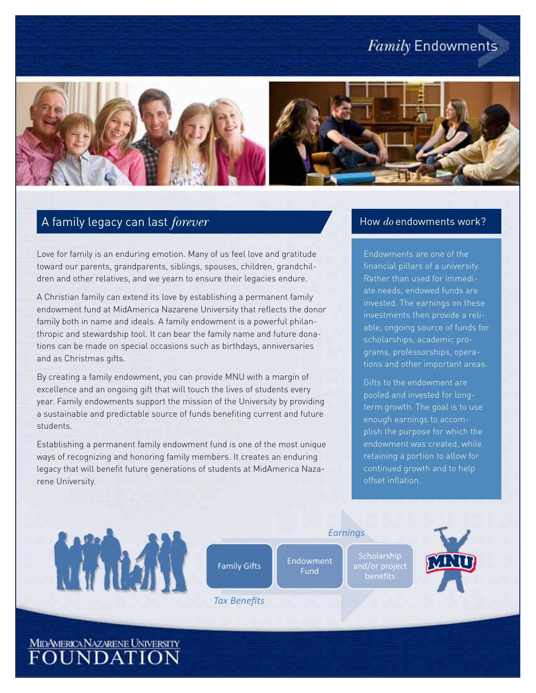# **Family Endowments**



### A family legacy can last *forever*

Love for family is an enduring emotion. Many of us feel love and gratitude toward our parents, grandparents, siblings, spouses, children, grandchildren and other relatives, and we yearn to ensure their legacies endure.

A Christian family can extend its love by establishing a permanent family endowment fund at MidAmerica Nazarene University that reflects the donor family both in name and ideals. A family endowment is a powerful philanthropic and stewardship tool. It can bear the family name and future donations can be made on special occasions such as birthdays, anniversaries and as Christmas gifts.

By creating a family endowment, you can provide MNU with a margin of excellence and an ongoing gift that will touch the lives of students every year. Family endowments support the mission of the University by providing a sustainable and predictable source of funds benefiting current and future students.

Establishing a permanent family endowment fund is one of the most unique ways of recognizing and honoring family members. It creates an enduring legacy that will benefit future generations of students at MidAmerica Nazarene University.

#### How *do* endowments work?

Endowments are one of the financial pillars of a university. Rather than used for immediate needs, endowed funds are invested. The earnings on these investments then provide a reliable, ongoing source of funds for scholarships, academic programs, professorships, operations and other important areas.

Gifts to the endowment are pooled and invested for longterm growth. The goal is to use enough earnings to accomplish the purpose for which the endowment was created, while retaining a portion to allow for continued growth and to help offset inflation.



MIDAMERICANAZARENE UNIVERSITY